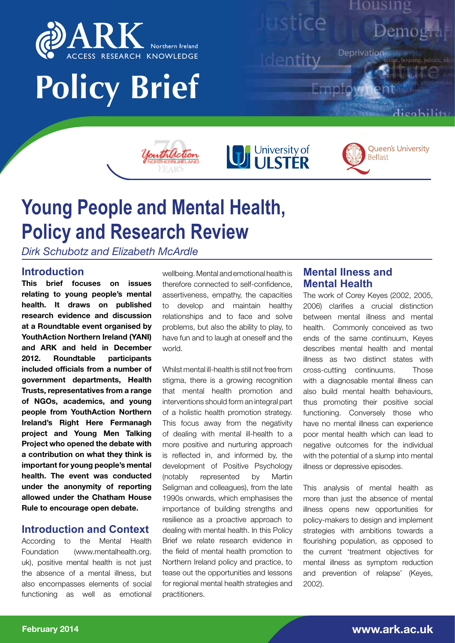

# **Policy Brief**



Housing

ustice

dentity

University of

icability

**Queen's University** 

**Belfast** 



*Dirk Schubotz and Elizabeth McArdle*

# **Introduction**

**This brief focuses on issues relating to young people's mental health. It draws on published research evidence and discussion at a Roundtable event organised by YouthAction Northern Ireland (YANI) and ARK and held in December 2012. Roundtable participants included officials from a number of government departments, Health Trusts, representatives from a range of NGOs, academics, and young people from YouthAction Northern Ireland's Right Here Fermanagh project and Young Men Talking Project who opened the debate with a contribution on what they think is important for young people's mental health. The event was conducted under the anonymity of reporting allowed under the Chatham House Rule to encourage open debate.**

# **Introduction and Context**

According to the Mental Health Foundation (www.mentalhealth.org. uk), positive mental health is not just the absence of a mental illness, but also encompasses elements of social functioning as well as emotional

wellbeing. Mental and emotional health is therefore connected to self-confidence, assertiveness, empathy, the capacities to develop and maintain healthy relationships and to face and solve problems, but also the ability to play, to have fun and to laugh at oneself and the world.

Whilst mental ill-health is still not free from stigma, there is a growing recognition that mental health promotion and interventions should form an integral part of a holistic health promotion strategy. This focus away from the negativity of dealing with mental ill-health to a more positive and nurturing approach is reflected in, and informed by, the development of Positive Psychology (notably represented by Martin Seligman and colleagues), from the late 1990s onwards, which emphasises the importance of building strengths and resilience as a proactive approach to dealing with mental health. In this Policy Brief we relate research evidence in the field of mental health promotion to Northern Ireland policy and practice, to tease out the opportunities and lessons for regional mental health strategies and practitioners.

# **Mental Ilness and Mental Health**

The work of Corey Keyes (2002, 2005, 2006) clarifies a crucial distinction between mental illness and mental health. Commonly conceived as two ends of the same continuum, Keyes describes mental health and mental illness as two distinct states with cross-cutting continuums. Those with a diagnosable mental illness can also build mental health behaviours, thus promoting their positive social functioning. Conversely those who have no mental illness can experience poor mental health which can lead to negative outcomes for the individual with the potential of a slump into mental illness or depressive episodes.

This analysis of mental health as more than just the absence of mental illness opens new opportunities for policy-makers to design and implement strategies with ambitions towards a flourishing population, as opposed to the current 'treatment objectives for mental illness as symptom reduction and prevention of relapse' (Keyes, 2002).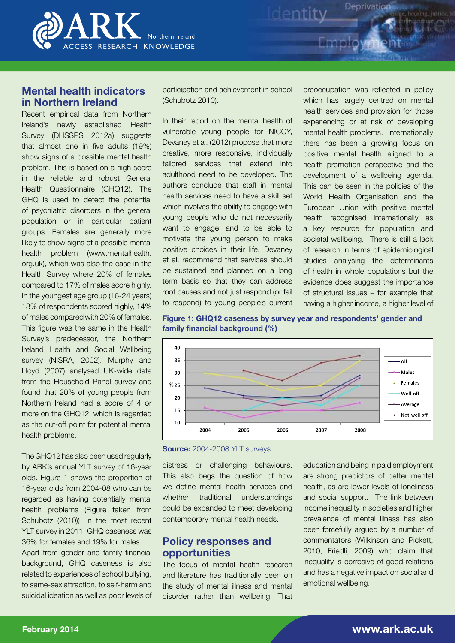

# **Mental health indicators in Northern Ireland**

Recent empirical data from Northern Ireland's newly established Health Survey (DHSSPS 2012a) suggests that almost one in five adults (19%) show signs of a possible mental health problem. This is based on a high score in the reliable and robust General Health Questionnaire (GHQ12). The GHQ is used to detect the potential of psychiatric disorders in the general population or in particular patient groups. Females are generally more likely to show signs of a possible mental health problem (www.mentalhealth. org.uk), which was also the case in the Health Survey where 20% of females compared to 17% of males score highly. In the youngest age group (16-24 years) 18% of respondents scored highly, 14% of males compared with 20% of females. This figure was the same in the Health Survey's predecessor, the Northern Ireland Health and Social Wellbeing survey (NISRA, 2002). Murphy and Lloyd (2007) analysed UK-wide data from the Household Panel survey and found that 20% of young people from Northern Ireland had a score of 4 or more on the GHQ12, which is regarded as the cut-off point for potential mental health problems.

The GHQ12 has also been used regularly by ARK's annual YLT survey of 16-year olds. Figure 1 shows the proportion of 16-year olds from 2004-08 who can be regarded as having potentially mental health problems (Figure taken from Schubotz (2010)). In the most recent YLT survey in 2011, GHQ caseness was 36% for females and 19% for males.

Apart from gender and family financial background, GHQ caseness is also related to experiences of school bullying, to same-sex attraction, to self-harm and suicidal ideation as well as poor levels of participation and achievement in school (Schubotz 2010).

In their report on the mental health of vulnerable young people for NICCY, Devaney et al. (2012) propose that more creative, more responsive, individually tailored services that extend into adulthood need to be developed. The authors conclude that staff in mental health services need to have a skill set which involves the ability to engage with young people who do not necessarily want to engage, and to be able to motivate the young person to make positive choices in their life. Devaney et al. recommend that services should be sustained and planned on a long term basis so that they can address root causes and not just respond (or fail to respond) to young people's current

preoccupation was reflected in policy which has largely centred on mental health services and provision for those experiencing or at risk of developing mental health problems. Internationally there has been a growing focus on positive mental health aligned to a health promotion perspective and the development of a wellbeing agenda. This can be seen in the policies of the World Health Organisation and the European Union with positive mental health recognised internationally as a key resource for population and societal wellbeing. There is still a lack of research in terms of epidemiological studies analysing the determinants of health in whole populations but the evidence does suggest the importance of structural issues – for example that having a higher income, a higher level of

Deprivation

**Figure 1: GHQ12 caseness by survey year and respondents' gender and family financial background (%)**



**Source:** 2004-2008 YLT surveys

distress or challenging behaviours. This also begs the question of how we define mental health services and whether traditional understandings could be expanded to meet developing contemporary mental health needs.

## **Policy responses and opportunities**

The focus of mental health research and literature has traditionally been on the study of mental illness and mental disorder rather than wellbeing. That

education and being in paid employment are strong predictors of better mental health, as are lower levels of loneliness and social support. The link between income inequality in societies and higher prevalence of mental illness has also been forcefully argued by a number of commentators (Wilkinson and Pickett, 2010; Friedli, 2009) who claim that inequality is corrosive of good relations and has a negative impact on social and emotional wellbeing.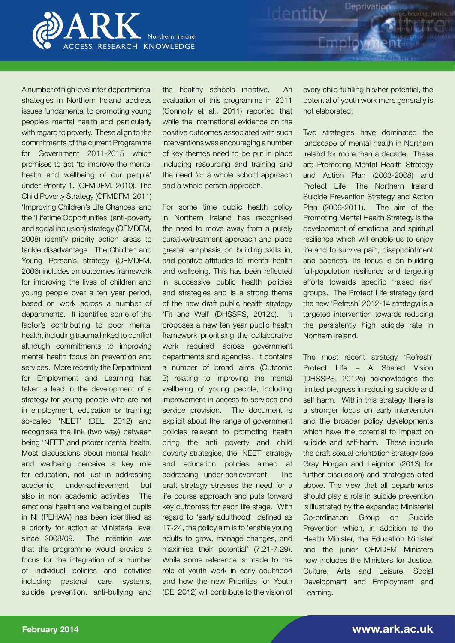

A number of high level inter-departmental strategies in Northern Ireland address issues fundamental to promoting young people's mental health and particularly with regard to poverty. These align to the commitments of the current Programme for Government 2011-2015 which promises to act 'to improve the mental health and wellbeing of our people' under Priority 1. (OFMDFM, 2010). The Child Poverty Strategy (OFMDFM, 2011) 'Improving Children's Life Chances' and the 'Lifetime Opportunities' (anti-poverty and social inclusion) strategy (OFMDFM, 2008) identify priority action areas to tackle disadvantage. The Children and Young Person's strategy (OFMDFM, 2006) includes an outcomes framework for improving the lives of children and young people over a ten year period, based on work across a number of departments. It identifies some of the factor's contributing to poor mental health, including trauma linked to conflict although commitments to improving mental health focus on prevention and services. More recently the Department for Employment and Learning has taken a lead in the development of a strategy for young people who are not in employment, education or training; so-called 'NEET' (DEL, 2012) and recognises the link (two way) between being 'NEET' and poorer mental health. Most discussions about mental health and wellbeing perceive a key role for education, not just in addressing academic under-achievement but also in non academic activities. The emotional health and wellbeing of pupils in NI (PEHAW) has been identified as a priority for action at Ministerial level since 2008/09. The intention was that the programme would provide a focus for the integration of a number of individual policies and activities including pastoral care systems, suicide prevention, anti-bullying and

the healthy schools initiative. An evaluation of this programme in 2011 (Connolly et al., 2011) reported that while the international evidence on the positive outcomes associated with such interventions was encouraging a number of key themes need to be put in place including resourcing and training and the need for a whole school approach and a whole person approach.

For some time public health policy in Northern Ireland has recognised the need to move away from a purely curative/treatment approach and place greater emphasis on building skills in, and positive attitudes to, mental health and wellbeing. This has been reflected in successive public health policies and strategies and is a strong theme of the new draft public health strategy 'Fit and Well' (DHSSPS, 2012b). It proposes a new ten year public health framework prioritising the collaborative work required across government departments and agencies. It contains a number of broad aims (Outcome 3) relating to improving the mental wellbeing of young people, including improvement in access to services and service provision. The document is explicit about the range of government policies relevant to promoting health citing the anti poverty and child poverty strategies, the 'NEET' strategy and education policies aimed at addressing under-achievement. The draft strategy stresses the need for a life course approach and puts forward key outcomes for each life stage. With regard to 'early adulthood', defined as 17-24, the policy aim is to 'enable young adults to grow, manage changes, and maximise their potential' (7.21-7.29). While some reference is made to the role of youth work in early adulthood and how the new Priorities for Youth (DE, 2012) will contribute to the vision of every child fulfilling his/her potential, the potential of youth work more generally is not elaborated.

Deprivation

Identity

Two strategies have dominated the landscape of mental health in Northern Ireland for more than a decade. These are Promoting Mental Health Strategy and Action Plan (2003-2008) and Protect Life: The Northern Ireland Suicide Prevention Strategy and Action Plan (2006-2011). The aim of the Promoting Mental Health Strategy is the development of emotional and spiritual resilience which will enable us to enjoy life and to survive pain, disappointment and sadness. Its focus is on building full-population resilience and targeting efforts towards specific 'raised risk' groups. The Protect Life strategy (and the new 'Refresh' 2012-14 strategy) is a targeted intervention towards reducing the persistently high suicide rate in Northern Ireland.

The most recent strategy 'Refresh' Protect Life – A Shared Vision (DHSSPS, 2012c) acknowledges the limited progress in reducing suicide and self harm. Within this strategy there is a stronger focus on early intervention and the broader policy developments which have the potential to impact on suicide and self-harm. These include the draft sexual orientation strategy (see Gray Horgan and Leighton (2013) for further discussion) and strategies cited above. The view that all departments should play a role in suicide prevention is illustrated by the expanded Ministerial Co-ordination Group on Suicide Prevention which, in addition to the Health Minister, the Education Minister and the junior OFMDFM Ministers now includes the Ministers for Justice, Culture, Arts and Leisure, Social Development and Employment and Learning.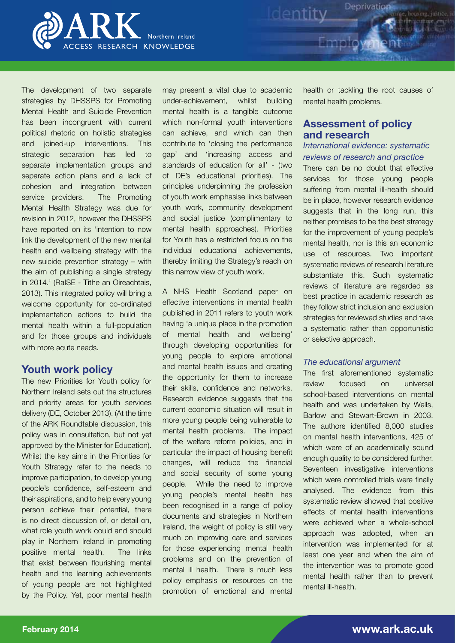

The development of two separate strategies by DHSSPS for Promoting Mental Health and Suicide Prevention has been incongruent with current political rhetoric on holistic strategies and joined-up interventions. This strategic separation has led to separate implementation groups and separate action plans and a lack of cohesion and integration between service providers. The Promoting Mental Health Strategy was due for revision in 2012, however the DHSSPS have reported on its 'intention to now link the development of the new mental health and wellbeing strategy with the new suicide prevention strategy – with the aim of publishing a single strategy in 2014.' (RaISE - Tithe an Oireachtais, 2013). This integrated policy will bring a welcome opportunity for co-ordinated implementation actions to build the mental health within a full-population and for those groups and individuals with more acute needs.

## **Youth work policy**

The new Priorities for Youth policy for Northern Ireland sets out the structures and priority areas for youth services delivery (DE, October 2013). (At the time of the ARK Roundtable discussion, this policy was in consultation, but not yet approved by the Minister for Education). Whilst the key aims in the Priorities for Youth Strategy refer to the needs to improve participation, to develop young people's confidence, self-esteem and their aspirations, and to help every young person achieve their potential, there is no direct discussion of, or detail on, what role youth work could and should play in Northern Ireland in promoting positive mental health. The links that exist between flourishing mental health and the learning achievements of young people are not highlighted by the Policy. Yet, poor mental health

may present a vital clue to academic under-achievement, whilst building mental health is a tangible outcome which non-formal youth interventions can achieve, and which can then contribute to 'closing the performance gap' and 'increasing access and standards of education for all' - (two of DE's educational priorities). The principles underpinning the profession of youth work emphasise links between youth work, community development and social justice (complimentary to mental health approaches). Priorities for Youth has a restricted focus on the individual educational achievements, thereby limiting the Strategy's reach on this narrow view of youth work.

A NHS Health Scotland paper on effective interventions in mental health published in 2011 refers to youth work having 'a unique place in the promotion of mental health and wellbeing' through developing opportunities for young people to explore emotional and mental health issues and creating the opportunity for them to increase their skills, confidence and networks. Research evidence suggests that the current economic situation will result in more young people being vulnerable to mental health problems. The impact of the welfare reform policies, and in particular the impact of housing benefit changes, will reduce the financial and social security of some young people. While the need to improve young people's mental health has been recognised in a range of policy documents and strategies in Northern Ireland, the weight of policy is still very much on improving care and services for those experiencing mental health problems and on the prevention of mental ill health. There is much less policy emphasis or resources on the promotion of emotional and mental

health or tackling the root causes of mental health problems.

Deprivation

## **Assessment of policy and research**

Identity<sup>De</sup>

## *International evidence: systematic reviews of research and practice*

There can be no doubt that effective services for those young people suffering from mental ill-health should be in place, however research evidence suggests that in the long run, this neither promises to be the best strategy for the improvement of young people's mental health, nor is this an economic use of resources. Two important systematic reviews of research literature substantiate this. Such systematic reviews of literature are regarded as best practice in academic research as they follow strict inclusion and exclusion strategies for reviewed studies and take a systematic rather than opportunistic or selective approach.

#### *The educational argument*

The first aforementioned systematic review focused on universal school-based interventions on mental health and was undertaken by Wells, Barlow and Stewart-Brown in 2003. The authors identified 8,000 studies on mental health interventions, 425 of which were of an academically sound enough quality to be considered further. Seventeen investigative interventions which were controlled trials were finally analysed. The evidence from this systematic review showed that positive effects of mental health interventions were achieved when a whole-school approach was adopted, when an intervention was implemented for at least one year and when the aim of the intervention was to promote good mental health rather than to prevent mental ill-health.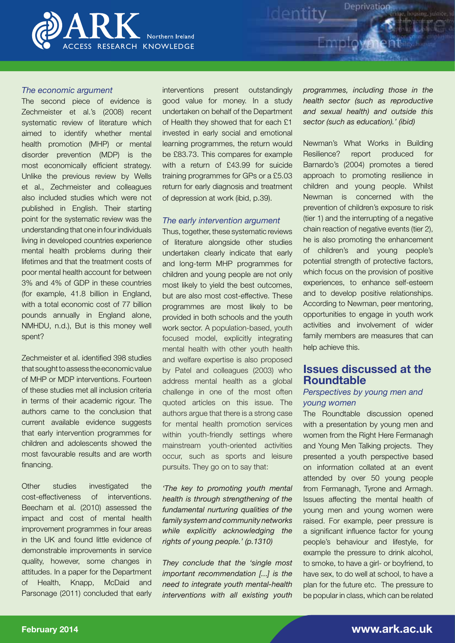

#### *The economic argument*

The second piece of evidence is Zechmeister et al.'s (2008) recent systematic review of literature which aimed to identify whether mental health promotion (MHP) or mental disorder prevention (MDP) is the most economically efficient strategy. Unlike the previous review by Wells et al., Zechmeister and colleagues also included studies which were not published in English. Their starting point for the systematic review was the understanding that one in four individuals living in developed countries experience mental health problems during their lifetimes and that the treatment costs of poor mental health account for between 3% and 4% of GDP in these countries (for example, 41.8 billion in England, with a total economic cost of 77 billion pounds annually in England alone, NMHDU, n.d.), But is this money well spent?

Zechmeister et al. identified 398 studies that sought to assess the economic value of MHP or MDP interventions. Fourteen of these studies met all inclusion criteria in terms of their academic rigour. The authors came to the conclusion that current available evidence suggests that early intervention programmes for children and adolescents showed the most favourable results and are worth financing.

Other studies investigated the cost-effectiveness of interventions. Beecham et al. (2010) assessed the impact and cost of mental health improvement programmes in four areas in the UK and found little evidence of demonstrable improvements in service quality, however, some changes in attitudes. In a paper for the Department of Health, Knapp, McDaid and Parsonage (2011) concluded that early interventions present outstandingly good value for money. In a study undertaken on behalf of the Department of Health they showed that for each £1 invested in early social and emotional learning programmes, the return would be £83.73. This compares for example with a return of £43.99 for suicide training programmes for GPs or a £5.03 return for early diagnosis and treatment of depression at work (ibid, p.39).

#### *The early intervention argument*

Thus, together, these systematic reviews of literature alongside other studies undertaken clearly indicate that early and long-term MHP programmes for children and young people are not only most likely to yield the best outcomes, but are also most cost-effective. These programmes are most likely to be provided in both schools and the youth work sector. A population-based, youth focused model, explicitly integrating mental health with other youth health and welfare expertise is also proposed by Patel and colleagues (2003) who address mental health as a global challenge in one of the most often quoted articles on this issue. The authors argue that there is a strong case for mental health promotion services within youth-friendly settings where mainstream youth-oriented activities occur, such as sports and leisure pursuits. They go on to say that:

*'The key to promoting youth mental health is through strengthening of the fundamental nurturing qualities of the family system and community networks while explicitly acknowledging the rights of young people.' (p.1310)*

*They conclude that the 'single most important recommendation [...] is the need to integrate youth mental-health interventions with all existing youth* 

*programmes, including those in the health sector (such as reproductive and sexual health) and outside this sector (such as education).' (ibid)*

Deprivation

Identity

Newman's What Works in Building Resilience? report produced for Barnardo's (2004) promotes a tiered approach to promoting resilience in children and young people. Whilst Newman is concerned with the prevention of children's exposure to risk (tier 1) and the interrupting of a negative chain reaction of negative events (tier 2), he is also promoting the enhancement of children's and young people's potential strength of protective factors, which focus on the provision of positive experiences, to enhance self-esteem and to develop positive relationships. According to Newman, peer mentoring, opportunities to engage in youth work activities and involvement of wider family members are measures that can help achieve this.

# **Issues discussed at the Roundtable**

## *Perspectives by young men and young women*

The Roundtable discussion opened with a presentation by young men and women from the Right Here Fermanagh and Young Men Talking projects. They presented a youth perspective based on information collated at an event attended by over 50 young people from Fermanagh, Tyrone and Armagh. Issues affecting the mental health of young men and young women were raised. For example, peer pressure is a significant influence factor for young people's behaviour and lifestyle, for example the pressure to drink alcohol, to smoke, to have a girl- or boyfriend, to have sex, to do well at school, to have a plan for the future etc. The pressure to be popular in class, which can be related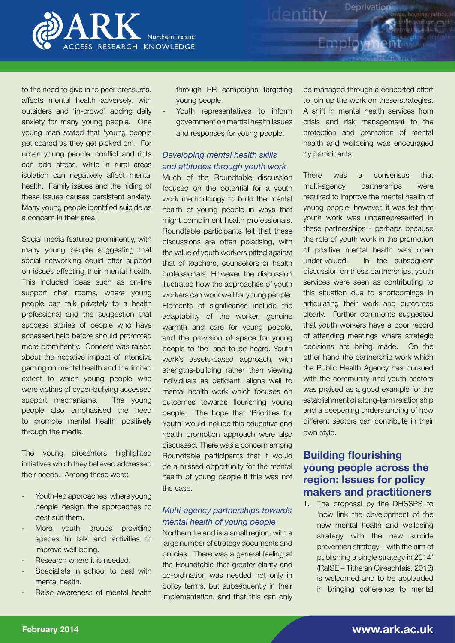

to the need to give in to peer pressures, affects mental health adversely, with outsiders and 'in-crowd' adding daily anxiety for many young people. One young man stated that 'young people get scared as they get picked on'. For urban young people, conflict and riots can add stress, while in rural areas isolation can negatively affect mental health. Family issues and the hiding of these issues causes persistent anxiety. Many young people identified suicide as a concern in their area.

Social media featured prominently, with many young people suggesting that social networking could offer support on issues affecting their mental health. This included ideas such as on-line support chat rooms, where young people can talk privately to a health professional and the suggestion that success stories of people who have accessed help before should promoted more prominently. Concern was raised about the negative impact of intensive gaming on mental health and the limited extent to which young people who were victims of cyber-bullying accessed support mechanisms. The young people also emphasised the need to promote mental health positively through the media.

The young presenters highlighted initiatives which they believed addressed their needs. Among these were:

- Youth-led approaches, where young people design the approaches to best suit them.
- More youth groups providing spaces to talk and activities to improve well-being.
- Research where it is needed.
- Specialists in school to deal with mental health.
- Raise awareness of mental health

through PR campaigns targeting young people.

Youth representatives to inform government on mental health issues and responses for young people.

## *Developing mental health skills and attitudes through youth work*

Much of the Roundtable discussion focused on the potential for a youth work methodology to build the mental health of young people in ways that might compliment health professionals. Roundtable participants felt that these discussions are often polarising, with the value of youth workers pitted against that of teachers, counsellors or health professionals. However the discussion illustrated how the approaches of youth workers can work well for young people. Elements of significance include the adaptability of the worker, genuine warmth and care for young people, and the provision of space for young people to 'be' and to be heard. Youth work's assets-based approach, with strengths-building rather than viewing individuals as deficient, aligns well to mental health work which focuses on outcomes towards flourishing young people. The hope that 'Priorities for Youth' would include this educative and health promotion approach were also discussed. There was a concern among Roundtable participants that it would be a missed opportunity for the mental health of young people if this was not the case.

## *Multi-agency partnerships towards mental health of young people*

Northern Ireland is a small region, with a large number of strategy documents and policies. There was a general feeling at the Roundtable that greater clarity and co-ordination was needed not only in policy terms, but subsequently in their implementation, and that this can only be managed through a concerted effort to join up the work on these strategies. A shift in mental health services from crisis and risk management to the protection and promotion of mental health and wellbeing was encouraged by participants.

Deprivation

Identity

There was a consensus that multi-agency partnerships were required to improve the mental health of young people, however, it was felt that youth work was underrepresented in these partnerships - perhaps because the role of youth work in the promotion of positive mental health was often under-valued. In the subsequent discussion on these partnerships, youth services were seen as contributing to this situation due to shortcomings in articulating their work and outcomes clearly. Further comments suggested that youth workers have a poor record of attending meetings where strategic decisions are being made. On the other hand the partnership work which the Public Health Agency has pursued with the community and youth sectors was praised as a good example for the establishment of a long-term relationship and a deepening understanding of how different sectors can contribute in their own style.

# **Building flourishing young people across the region: Issues for policy makers and practitioners**

1. The proposal by the DHSSPS to 'now link the development of the new mental health and wellbeing strategy with the new suicide prevention strategy – with the aim of publishing a single strategy in 2014' (RaISE – Tithe an Oireachtais, 2013) is welcomed and to be applauded in bringing coherence to mental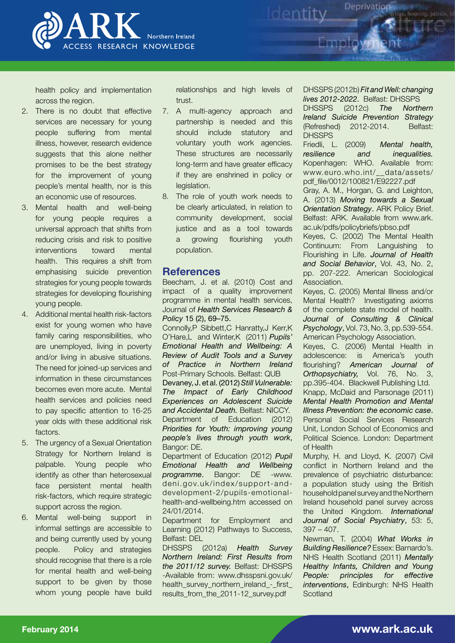

health policy and implementation across the region.

- 2. There is no doubt that effective services are necessary for young people suffering from mental illness, however, research evidence suggests that this alone neither promises to be the best strategy for the improvement of young people's mental health, nor is this an economic use of resources.
- 3. Mental health and well-being for young people requires a universal approach that shifts from reducing crisis and risk to positive interventions toward mental health. This requires a shift from emphasising suicide prevention strategies for young people towards strategies for developing flourishing young people.
- 4. Additional mental health risk-factors exist for young women who have family caring responsibilities, who are unemployed, living in poverty and/or living in abusive situations. The need for joined-up services and information in these circumstances becomes even more acute. Mental health services and policies need to pay specific attention to 16-25 year olds with these additional risk factors.
- 5. The urgency of a Sexual Orientation Strategy for Northern Ireland is palpable. Young people who identify as other than heterosexual face persistent mental health risk-factors, which require strategic support across the region.
- 6. Mental well-being support in informal settings are accessible to and being currently used by young people. Policy and strategies should recognise that there is a role for mental health and well-being support to be given by those whom young people have build

relationships and high levels of trust.

- 7. A multi-agency approach and partnership is needed and this should include statutory and voluntary youth work agencies. These structures are necessarily long-term and have greater efficacy if they are enshrined in policy or legislation.
- 8. The role of youth work needs to be clearly articulated, in relation to community development, social justice and as a tool towards a growing flourishing youth population.

## **References**

Beecham, J. et al. (2010) Cost and impact of a quality improvement programme in mental health services, Journal of *Health Services Research & Policy* 15 (2), 69–75.

Connolly,P Sibbett,C Hanratty,J Kerr,K O'Hare,L and Winter,K (2011) *Pupils' Emotional Health and Wellbeing: A Review of Audit Tools and a Survey of Practice in Northern Ireland* Post-Primary Schools. Belfast: QUB Devaney, J. et al. (2012) *Still Vulnerable:* 

*The Impact of Early Childhood Experiences on Adolescent Suicide and Accidental Death.* Belfast: NICCY. Department of Education (2012) *Priorities for Youth: improving young people's lives through youth work*, Bangor: DE.

Department of Education (2012) *Pupil Emotional Health and Wellbeing programme*. Bangor: DE [-www.](http://www.deni.gov.uk/index/support-and-development-2/pupils-emotional-health-and-wellbeing.htm) [deni.gov.uk/index/support-and](http://www.deni.gov.uk/index/support-and-development-2/pupils-emotional-health-and-wellbeing.htm)[development-2/pupils-emotional](http://www.deni.gov.uk/index/support-and-development-2/pupils-emotional-health-and-wellbeing.htm)[health-and-wellbeing.htm](http://www.deni.gov.uk/index/support-and-development-2/pupils-emotional-health-and-wellbeing.htm) accessed on 24/01/2014.

Department for Employment and Learning (2012) Pathways to Success, Belfast: DEL<br>DHSSPS

(2012a) **Health Survey** *Northern Ireland: First Results from the 2011/12 survey.* Belfast: DHSSPS -Available from: [www.dhsspsni.gov.uk/](http://www.dhsspsni.gov.uk/health_survey_northern_ireland_-_first_results_from_the_2011-12_survey.pdf) [health\\_survey\\_northern\\_ireland\\_-\\_first\\_](http://www.dhsspsni.gov.uk/health_survey_northern_ireland_-_first_results_from_the_2011-12_survey.pdf) [results\\_from\\_the\\_2011-12\\_survey.pdf](http://www.dhsspsni.gov.uk/health_survey_northern_ireland_-_first_results_from_the_2011-12_survey.pdf)

DHSSPS (2012b) *Fit and Well: changing lives 2012-2022*. Belfast: DHSSPS

Deprivation

housing, justice

DHSSPS (2012c) *The Northern Ireland Suicide Prevention Strategy* (Refreshed) 2012-2014. Belfast: **DHSSPS** 

Friedli, L. (2009) *Mental health, resilience and inequalities.*  Kopenhagen: WHO. Available from: www.euro.who.int/\_\_data/assets/ pdf\_file/0012/100821/E92227.pdf

Gray, A. M., Horgan, G. and Leighton, A. (2013) *Moving towards a Sexual Orientation Strategy*. ARK Policy Brief. Belfast: ARK. Available from www.ark. ac.uk/pdfs/policybriefs/pbso.pdf

Keyes, C. (2002) The Mental Health Continuum: From Languishing to Flourishing in Life. *Journal of Health and Social Behavior*, Vol. 43, No. 2, pp. 207-222. American Sociological Association.

Keyes, C. (2005) Mental Illness and/or Mental Health? Investigating axioms of the complete state model of health. *Journal of Consulting & Clinical Psychology*, Vol. 73, No. 3, pp.539-554. American Psychology Association.

Keyes, C. (2006) Mental Health in adolescence: is America's youth flourishing? *American Journal of Orthopsychiatry,* Vol. 76, No. 3, pp.395-404. Blackwell Publishing Ltd. Knapp, McDaid and Parsonage (2011) *Mental Health Promotion and Mental Illness Prevention: the economic case*. Personal Social Services Research Unit, London School of Economics and Political Science. London: Department of Health

Murphy, H. and Lloyd, K. (2007) Civil conflict in Northern Ireland and the prevalence of psychiatric disturbance: a population study using the British household panel survey and the Northern Ireland household panel survey across the United Kingdom. *International Journal of Social Psychiatry*, 53: 5, 397 – 407.

Newman, T. (2004) *What Works in Building Resilience?* Essex: Barnardo's. NHS Health Scotland (2011) *Mentally Healthy Infants, Children and Young People: principles for effective interventions*, Edinburgh: NHS Health **Scotland**